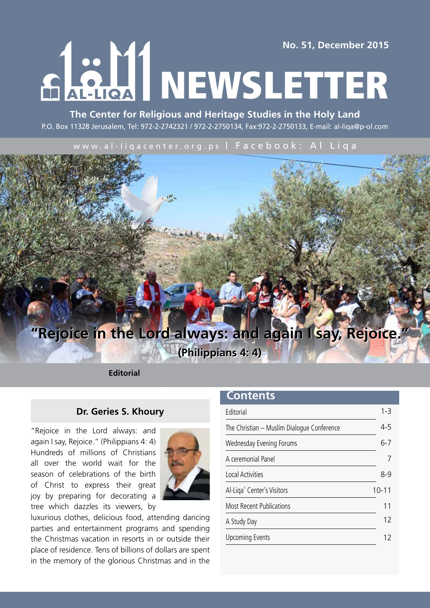**No. 51, December 2015**

RAHL NEWSLETTER

**The Center for Religious and Heritage Studies in the Holy Land** P.O. Box 11328 Jerusalem, Tel: 972-2-2742321 / 972-2-2750134, Fax:972-2-2750133, E-mail: al-liqa@p-ol.com

www.al-liqacenter.org.ps | Facebook: Al Liqa



**(Philippians 4: 4) (Philippians 4: 4)**

**Editorial**

### **Dr. Geries S. Khoury**

"Rejoice in the Lord always: and again I say, Rejoice." (Philippians 4: 4) Hundreds of millions of Christians all over the world wait for the season of celebrations of the birth of Christ to express their great joy by preparing for decorating a tree which dazzles its viewers, by



luxurious clothes, delicious food, attending dancing parties and entertainment programs and spending the Christmas vacation in resorts in or outside their place of residence. Tens of billions of dollars are spent in the memory of the glorious Christmas and in the

### **Contents**

| <b>Editorial</b>                           | $1 - 3$   |
|--------------------------------------------|-----------|
| The Christian - Muslim Dialogue Conference | $4 - 5$   |
| Wednesday Evening Forums                   | $6 - 7$   |
| A ceremonial Panel                         |           |
| Local Activities                           | 8-9       |
| Al-Liga' Center's Visitors                 | $10 - 11$ |
| <b>Most Recent Publications</b>            | 11        |
| A Study Day                                | 12        |
| <b>Upcoming Events</b>                     |           |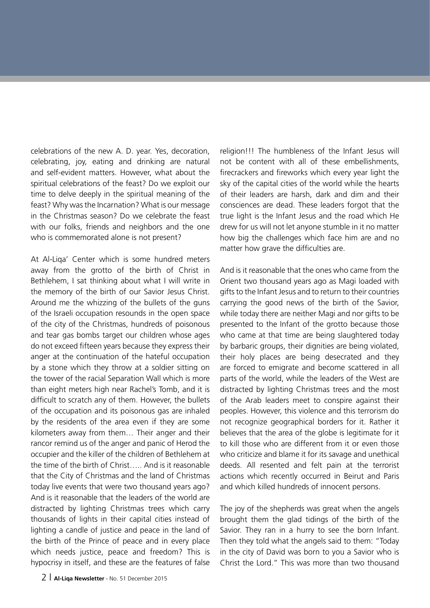celebrations of the new A. D. year. Yes, decoration, celebrating, joy, eating and drinking are natural and self-evident matters. However, what about the spiritual celebrations of the feast? Do we exploit our time to delve deeply in the spiritual meaning of the feast? Why was the Incarnation? What is our message in the Christmas season? Do we celebrate the feast with our folks, friends and neighbors and the one who is commemorated alone is not present?

At Al-Liqa' Center which is some hundred meters away from the grotto of the birth of Christ in Bethlehem, I sat thinking about what I will write in the memory of the birth of our Savior Jesus Christ. Around me the whizzing of the bullets of the guns of the Israeli occupation resounds in the open space of the city of the Christmas, hundreds of poisonous and tear gas bombs target our children whose ages do not exceed fifteen years because they express their anger at the continuation of the hateful occupation by a stone which they throw at a soldier sitting on the tower of the racial Separation Wall which is more than eight meters high near Rachel's Tomb, and it is difficult to scratch any of them. However, the bullets of the occupation and its poisonous gas are inhaled by the residents of the area even if they are some kilometers away from them… Their anger and their rancor remind us of the anger and panic of Herod the occupier and the killer of the children of Bethlehem at the time of the birth of Christ….. And is it reasonable that the City of Christmas and the land of Christmas today live events that were two thousand years ago? And is it reasonable that the leaders of the world are distracted by lighting Christmas trees which carry thousands of lights in their capital cities instead of lighting a candle of justice and peace in the land of the birth of the Prince of peace and in every place which needs justice, peace and freedom? This is hypocrisy in itself, and these are the features of false

religion!!! The humbleness of the Infant Jesus will not be content with all of these embellishments, firecrackers and fireworks which every year light the sky of the capital cities of the world while the hearts of their leaders are harsh, dark and dim and their consciences are dead. These leaders forgot that the true light is the Infant Jesus and the road which He drew for us will not let anyone stumble in it no matter how big the challenges which face him are and no matter how grave the difficulties are.

And is it reasonable that the ones who came from the Orient two thousand years ago as Magi loaded with gifts to the Infant Jesus and to return to their countries carrying the good news of the birth of the Savior, while today there are neither Magi and nor gifts to be presented to the Infant of the grotto because those who came at that time are being slaughtered today by barbaric groups, their dignities are being violated, their holy places are being desecrated and they are forced to emigrate and become scattered in all parts of the world, while the leaders of the West are distracted by lighting Christmas trees and the most of the Arab leaders meet to conspire against their peoples. However, this violence and this terrorism do not recognize geographical borders for it. Rather it believes that the area of the globe is legitimate for it to kill those who are different from it or even those who criticize and blame it for its savage and unethical deeds. All resented and felt pain at the terrorist actions which recently occurred in Beirut and Paris and which killed hundreds of innocent persons.

The joy of the shepherds was great when the angels brought them the glad tidings of the birth of the Savior. They ran in a hurry to see the born Infant. Then they told what the angels said to them: "Today in the city of David was born to you a Savior who is Christ the Lord." This was more than two thousand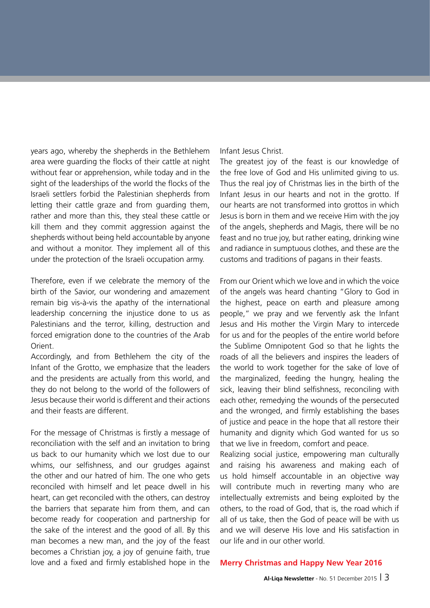years ago, whereby the shepherds in the Bethlehem area were guarding the flocks of their cattle at night without fear or apprehension, while today and in the sight of the leaderships of the world the flocks of the Israeli settlers forbid the Palestinian shepherds from letting their cattle graze and from guarding them, rather and more than this, they steal these cattle or kill them and they commit aggression against the shepherds without being held accountable by anyone and without a monitor. They implement all of this under the protection of the Israeli occupation army.

Therefore, even if we celebrate the memory of the birth of the Savior, our wondering and amazement remain big vis-à-vis the apathy of the international leadership concerning the injustice done to us as Palestinians and the terror, killing, destruction and forced emigration done to the countries of the Arab Orient.

Accordingly, and from Bethlehem the city of the Infant of the Grotto, we emphasize that the leaders and the presidents are actually from this world, and they do not belong to the world of the followers of Jesus because their world is different and their actions and their feasts are different.

For the message of Christmas is firstly a message of reconciliation with the self and an invitation to bring us back to our humanity which we lost due to our whims, our selfishness, and our grudges against the other and our hatred of him. The one who gets reconciled with himself and let peace dwell in his heart, can get reconciled with the others, can destroy the barriers that separate him from them, and can become ready for cooperation and partnership for the sake of the interest and the good of all. By this man becomes a new man, and the joy of the feast becomes a Christian joy, a joy of genuine faith, true love and a fixed and firmly established hope in the Infant Jesus Christ.

The greatest joy of the feast is our knowledge of the free love of God and His unlimited giving to us. Thus the real joy of Christmas lies in the birth of the Infant Jesus in our hearts and not in the grotto. If our hearts are not transformed into grottos in which Jesus is born in them and we receive Him with the joy of the angels, shepherds and Magis, there will be no feast and no true joy, but rather eating, drinking wine and radiance in sumptuous clothes, and these are the customs and traditions of pagans in their feasts.

From our Orient which we love and in which the voice of the angels was heard chanting "Glory to God in the highest, peace on earth and pleasure among people," we pray and we fervently ask the Infant Jesus and His mother the Virgin Mary to intercede for us and for the peoples of the entire world before the Sublime Omnipotent God so that he lights the roads of all the believers and inspires the leaders of the world to work together for the sake of love of the marginalized, feeding the hungry, healing the sick, leaving their blind selfishness, reconciling with each other, remedying the wounds of the persecuted and the wronged, and firmly establishing the bases of justice and peace in the hope that all restore their humanity and dignity which God wanted for us so that we live in freedom, comfort and peace.

Realizing social justice, empowering man culturally and raising his awareness and making each of us hold himself accountable in an objective way will contribute much in reverting many who are intellectually extremists and being exploited by the others, to the road of God, that is, the road which if all of us take, then the God of peace will be with us and we will deserve His love and His satisfaction in our life and in our other world.

#### **Merry Christmas and Happy New Year 2016**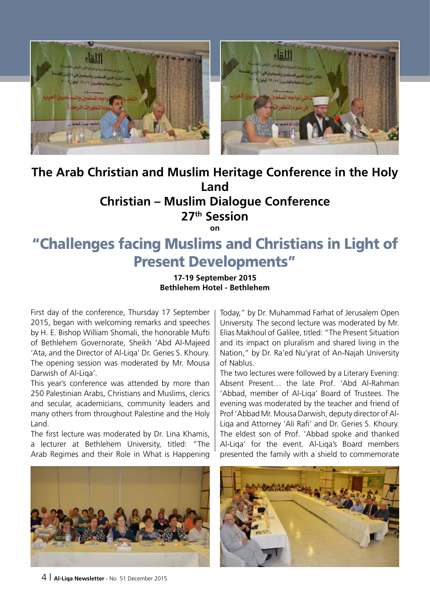

### **The Arab Christian and Muslim Heritage Conference in the Holy Land Christian – Muslim Dialogue Conference 27th Session**

**on**

## "Challenges facing Muslims and Christians in Light of Present Developments"

#### **17-19 September 2015 Bethlehem Hotel - Bethlehem**

First day of the conference, Thursday 17 September 2015, began with welcoming remarks and speeches by H. E. Bishop William Shomali, the honorable Mufti of Bethlehem Governorate, Sheikh 'Abd Al-Majeed 'Ata, and the Director of Al-Liqa' Dr. Geries S. Khoury. The opening session was moderated by Mr. Mousa Darwish of Al-Liqa'.

This year's conference was attended by more than 250 Palestinian Arabs, Christians and Muslims, clerics and secular, academicians, community leaders and many others from throughout Palestine and the Holy Land.

The first lecture was moderated by Dr. Lina Khamis, a lecturer at Bethlehem University, titled: "The Arab Regimes and their Role in What is Happening

Today," by Dr. Muhammad Farhat of Jerusalem Open University. The second lecture was moderated by Mr. Elias Makhoul of Galilee, titled: "The Present Situation and its impact on pluralism and shared living in the Nation," by Dr. Ra'ed Nu'yrat of An-Najah University of Nablus.

The two lectures were followed by a Literary Evening: Absent Present… the late Prof. 'Abd Al-Rahman 'Abbad, member of Al-Liqa' Board of Trustees. The evening was moderated by the teacher and friend of Prof 'Abbad Mr. Mousa Darwish, deputy director of Al-Liqa and Attorney 'Ali Rafi' and Dr. Geries S. Khoury. The eldest son of Prof. 'Abbad spoke and thanked Al-Liqa' for the event. Al-Liqa's Board members presented the family with a shield to commemorate



4 | **Al-Liqa Newsletter** - No. 51 December 2015

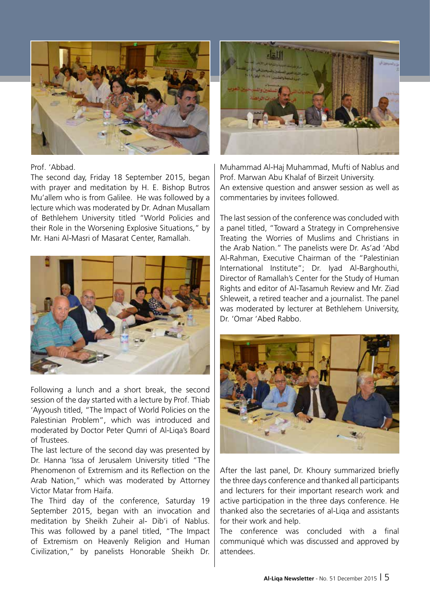

#### Prof. 'Abbad.

The second day, Friday 18 September 2015, began with prayer and meditation by H. E. Bishop Butros Mu'allem who is from Galilee. He was followed by a lecture which was moderated by Dr. Adnan Musallam of Bethlehem University titled "World Policies and their Role in the Worsening Explosive Situations," by Mr. Hani Al-Masri of Masarat Center, Ramallah.



Following a lunch and a short break, the second session of the day started with a lecture by Prof. Thiab 'Ayyoush titled, "The Impact of World Policies on the Palestinian Problem", which was introduced and moderated by Doctor Peter Qumri of Al-Liqa's Board of Trustees.

The last lecture of the second day was presented by Dr. Hanna 'Issa of Jerusalem University titled "The Phenomenon of Extremism and its Reflection on the Arab Nation," which was moderated by Attorney Victor Matar from Haifa.

The Third day of the conference, Saturday 19 September 2015, began with an invocation and meditation by Sheikh Zuheir al- Dib'i of Nablus. This was followed by a panel titled, "The Impact of Extremism on Heavenly Religion and Human Civilization," by panelists Honorable Sheikh Dr.



Muhammad Al-Haj Muhammad, Mufti of Nablus and Prof. Marwan Abu Khalaf of Birzeit University. An extensive question and answer session as well as commentaries by invitees followed.

The last session of the conference was concluded with a panel titled, "Toward a Strategy in Comprehensive Treating the Worries of Muslims and Christians in the Arab Nation." The panelists were Dr. As'ad 'Abd Al-Rahman, Executive Chairman of the "Palestinian International Institute"; Dr. Iyad Al-Barghouthi, Director of Ramallah's Center for the Study of Human Rights and editor of Al-Tasamuh Review and Mr. Ziad Shleweit, a retired teacher and a journalist. The panel was moderated by lecturer at Bethlehem University, Dr. 'Omar 'Abed Rabbo.



After the last panel, Dr. Khoury summarized briefly the three days conference and thanked all participants and lecturers for their important research work and active participation in the three days conference. He thanked also the secretaries of al-Liqa and assistants for their work and help.

The conference was concluded with a final communiqué which was discussed and approved by attendees.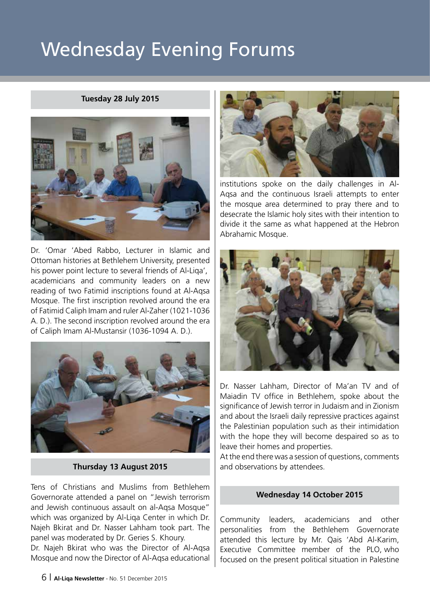# Wednesday Evening Forums

#### **Tuesday 28 July 2015**



Dr. 'Omar 'Abed Rabbo, Lecturer in Islamic and Ottoman histories at Bethlehem University, presented his power point lecture to several friends of Al-Liqa', academicians and community leaders on a new reading of two Fatimid inscriptions found at Al-Aqsa Mosque. The first inscription revolved around the era of Fatimid Caliph Imam and ruler Al-Zaher (1021-1036 A. D.). The second inscription revolved around the era of Caliph Imam Al-Mustansir (1036-1094 A. D.).



#### **Thursday 13 August 2015**

Tens of Christians and Muslims from Bethlehem Governorate attended a panel on "Jewish terrorism and Jewish continuous assault on al-Aqsa Mosque" which was organized by Al-Liqa Center in which Dr. Najeh Bkirat and Dr. Nasser Lahham took part. The panel was moderated by Dr. Geries S. Khoury.

Dr. Najeh Bkirat who was the Director of Al-Aqsa Mosque and now the Director of Al-Aqsa educational



institutions spoke on the daily challenges in Al-Aqsa and the continuous Israeli attempts to enter the mosque area determined to pray there and to desecrate the Islamic holy sites with their intention to divide it the same as what happened at the Hebron Abrahamic Mosque.



Dr. Nasser Lahham, Director of Ma'an TV and of Maiadin TV office in Bethlehem, spoke about the significance of Jewish terror in Judaism and in Zionism and about the Israeli daily repressive practices against the Palestinian population such as their intimidation with the hope they will become despaired so as to leave their homes and properties.

At the end there was a session of questions, comments and observations by attendees.

#### **Wednesday 14 October 2015**

Community leaders, academicians and other personalities from the Bethlehem Governorate attended this lecture by Mr. Qais 'Abd Al-Karim, Executive Committee member of the PLO, who focused on the present political situation in Palestine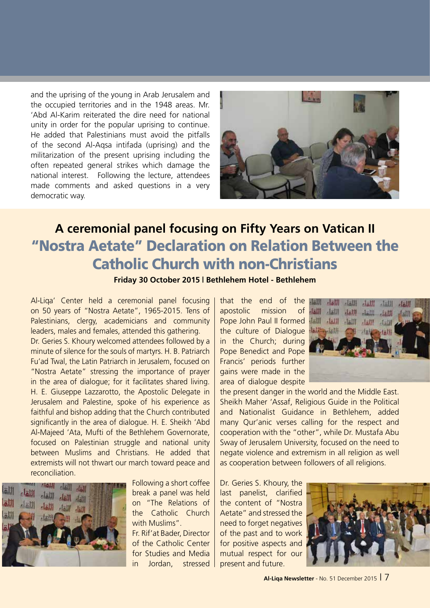and the uprising of the young in Arab Jerusalem and the occupied territories and in the 1948 areas. Mr. 'Abd Al-Karim reiterated the dire need for national unity in order for the popular uprising to continue. He added that Palestinians must avoid the pitfalls of the second Al-Aqsa intifada (uprising) and the militarization of the present uprising including the often repeated general strikes which damage the national interest. Following the lecture, attendees made comments and asked questions in a very democratic way.



## **A ceremonial panel focusing on Fifty Years on Vatican II** "Nostra Aetate" Declaration on Relation Between the Catholic Church with non-Christians

**Friday 30 October 2015 | Bethlehem Hotel - Bethlehem**

Al-Liqa' Center held a ceremonial panel focusing on 50 years of "Nostra Aetate", 1965-2015. Tens of Palestinians, clergy, academicians and community leaders, males and females, attended this gathering.

Dr. Geries S. Khoury welcomed attendees followed by a minute of silence for the souls of martyrs. H. B. Patriarch Fu'ad Twal, the Latin Patriarch in Jerusalem, focused on "Nostra Aetate" stressing the importance of prayer in the area of dialogue; for it facilitates shared living. H. E. Giuseppe Lazzarotto, the Apostolic Delegate in Jerusalem and Palestine, spoke of his experience as faithful and bishop adding that the Church contributed significantly in the area of dialogue. H. E. Sheikh 'Abd Al-Majeed 'Ata, Mufti of the Bethlehem Governorate, focused on Palestinian struggle and national unity between Muslims and Christians. He added that extremists will not thwart our march toward peace and reconciliation.



Following a short coffee break a panel was held on "The Relations of the Catholic Church with Muslims".

Fr. Rif'at Bader, Director of the Catholic Center for Studies and Media in Jordan, stressed

that the end of the apostolic mission of Pope John Paul II formed the culture of Dialogue in the Church; during Pope Benedict and Pope Francis' periods further gains were made in the area of dialogue despite



the present danger in the world and the Middle East. Sheikh Maher 'Assaf, Religious Guide in the Political and Nationalist Guidance in Bethlehem, added many Qur'anic verses calling for the respect and cooperation with the "other", while Dr. Mustafa Abu Sway of Jerusalem University, focused on the need to negate violence and extremism in all religion as well as cooperation between followers of all religions.

Dr. Geries S. Khoury, the last panelist, clarified the content of "Nostra Aetate" and stressed the need to forget negatives of the past and to work for positive aspects and mutual respect for our present and future.

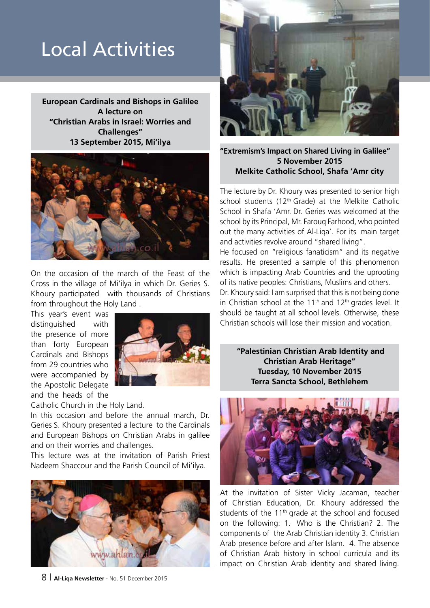# Local Activities

**European Cardinals and Bishops in Galilee A lecture on "Christian Arabs in Israel: Worries and Challenges" 13 September 2015, Mi'ilya**



On the occasion of the march of the Feast of the Cross in the village of Mi'ilya in which Dr. Geries S. Khoury participated with thousands of Christians from throughout the Holy Land .

This year's event was distinguished with the presence of more than forty European Cardinals and Bishops from 29 countries who were accompanied by the Apostolic Delegate and the heads of the



Catholic Church in the Holy Land.

In this occasion and before the annual march, Dr. Geries S. Khoury presented a lecture to the Cardinals and European Bishops on Christian Arabs in galilee and on their worries and challenges.

This lecture was at the invitation of Parish Priest Nadeem Shaccour and the Parish Council of Mi'ilya.





**"Extremism's Impact on Shared Living in Galilee" 5 November 2015 Melkite Catholic School, Shafa 'Amr city**

The lecture by Dr. Khoury was presented to senior high school students (12<sup>th</sup> Grade) at the Melkite Catholic School in Shafa 'Amr. Dr. Geries was welcomed at the school by its Principal, Mr. Farouq Farhood, who pointed out the many activities of Al-Liqa'. For its main target and activities revolve around "shared living".

He focused on "religious fanaticism" and its negative results. He presented a sample of this phenomenon which is impacting Arab Countries and the uprooting of its native peoples: Christians, Muslims and others. Dr. Khoury said: I am surprised that this is not being done in Christian school at the 11<sup>th</sup> and 12<sup>th</sup> grades level. It should be taught at all school levels. Otherwise, these Christian schools will lose their mission and vocation.

 **"Palestinian Christian Arab Identity and Christian Arab Heritage" Tuesday, 10 November 2015 Terra Sancta School, Bethlehem**



At the invitation of Sister Vicky Jacaman, teacher of Christian Education, Dr. Khoury addressed the students of the 11th grade at the school and focused on the following: 1. Who is the Christian? 2. The components of the Arab Christian identity 3. Christian Arab presence before and after Islam. 4. The absence of Christian Arab history in school curricula and its impact on Christian Arab identity and shared living.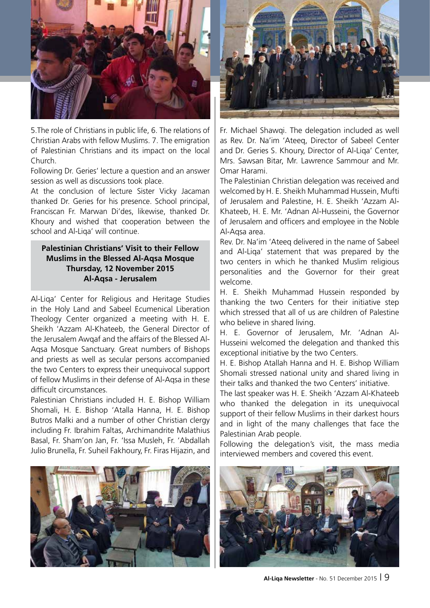

5.The role of Christians in public life, 6. The relations of Christian Arabs with fellow Muslims. 7. The emigration of Palestinian Christians and its impact on the local Church.

Following Dr. Geries' lecture a question and an answer session as well as discussions took place.

At the conclusion of lecture Sister Vicky Jacaman thanked Dr. Geries for his presence. School principal, Franciscan Fr. Marwan Di'des, likewise, thanked Dr. Khoury and wished that cooperation between the school and Al-Liqa' will continue.

#### **Palestinian Christians' Visit to their Fellow Muslims in the Blessed Al-Aqsa Mosque Thursday, 12 November 2015 Al-Aqsa - Jerusalem**

Al-Liqa' Center for Religious and Heritage Studies in the Holy Land and Sabeel Ecumenical Liberation Theology Center organized a meeting with H. E. Sheikh 'Azzam Al-Khateeb, the General Director of the Jerusalem Awqaf and the affairs of the Blessed Al-Aqsa Mosque Sanctuary. Great numbers of Bishops and priests as well as secular persons accompanied the two Centers to express their unequivocal support of fellow Muslims in their defense of Al-Aqsa in these difficult circumstances.

Palestinian Christians included H. E. Bishop William Shomali, H. E. Bishop 'Atalla Hanna, H. E. Bishop Butros Malki and a number of other Christian clergy including Fr. Ibrahim Faltas, Archimandrite Malathius Basal, Fr. Sham'on Jan, Fr. 'Issa Musleh, Fr. 'Abdallah Julio Brunella, Fr. Suheil Fakhoury, Fr. Firas Hijazin, and





Fr. Michael Shawqi. The delegation included as well as Rev. Dr. Na'im 'Ateeq, Director of Sabeel Center and Dr. Geries S. Khoury, Director of Al-Liqa' Center, Mrs. Sawsan Bitar, Mr. Lawrence Sammour and Mr. Omar Harami.

The Palestinian Christian delegation was received and welcomed by H. E. Sheikh Muhammad Hussein, Mufti of Jerusalem and Palestine, H. E. Sheikh 'Azzam Al-Khateeb, H. E. Mr. 'Adnan Al-Husseini, the Governor of Jerusalem and officers and employee in the Noble Al-Aqsa area.

Rev. Dr. Na'im 'Ateeq delivered in the name of Sabeel and Al-Liqa' statement that was prepared by the two centers in which he thanked Muslim religious personalities and the Governor for their great welcome.

H. E. Sheikh Muhammad Hussein responded by thanking the two Centers for their initiative step which stressed that all of us are children of Palestine who believe in shared living.

H. E. Governor of Jerusalem, Mr. 'Adnan Al-Husseini welcomed the delegation and thanked this exceptional initiative by the two Centers.

H. E. Bishop Atallah Hanna and H. E. Bishop William Shomali stressed national unity and shared living in their talks and thanked the two Centers' initiative.

The last speaker was H. E. Sheikh 'Azzam Al-Khateeb who thanked the delegation in its unequivocal support of their fellow Muslims in their darkest hours and in light of the many challenges that face the Palestinian Arab people.

Following the delegation's visit, the mass media interviewed members and covered this event.



**Al-Liqa Newsletter** - No. 51 December 2015 | 9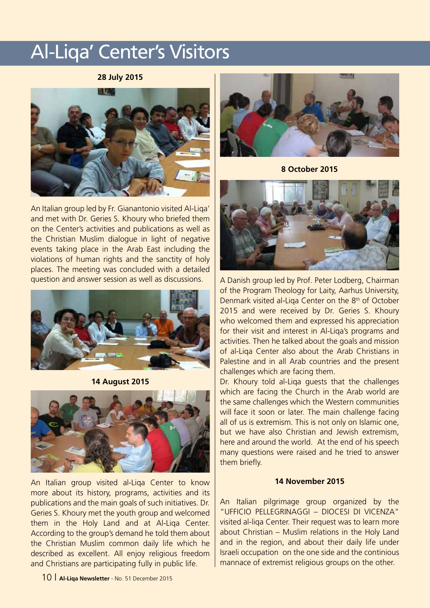# Al-Liqa' Center's Visitors

#### **28 July 2015**



An Italian group led by Fr. Gianantonio visited Al-Liqa' and met with Dr. Geries S. Khoury who briefed them on the Center's activities and publications as well as the Christian Muslim dialogue in light of negative events taking place in the Arab East including the violations of human rights and the sanctity of holy places. The meeting was concluded with a detailed question and answer session as well as discussions.



**14 August 2015**



An Italian group visited al-Liqa Center to know more about its history, programs, activities and its publications and the main goals of such initiatives. Dr. Geries S. Khoury met the youth group and welcomed them in the Holy Land and at Al-Liqa Center. According to the group's demand he told them about the Christian Muslim common daily life which he described as excellent. All enjoy religious freedom and Christians are participating fully in public life.



**8 October 2015**



A Danish group led by Prof. Peter Lodberg, Chairman of the Program Theology for Laity, Aarhus University, Denmark visited al-Liga Center on the 8<sup>th</sup> of October 2015 and were received by Dr. Geries S. Khoury who welcomed them and expressed his appreciation for their visit and interest in Al-Liqa's programs and activities. Then he talked about the goals and mission of al-Liqa Center also about the Arab Christians in Palestine and in all Arab countries and the present challenges which are facing them.

Dr. Khoury told al-Liqa guests that the challenges which are facing the Church in the Arab world are the same challenges which the Western communities will face it soon or later. The main challenge facing all of us is extremism. This is not only on Islamic one, but we have also Christian and Jewish extremism, here and around the world. At the end of his speech many questions were raised and he tried to answer them briefly.

#### **14 November 2015**

An Italian pilgrimage group organized by the "UFFICIO PELLEGRINAGGI – DIOCESI DI VICENZA" visited al-liqa Center. Their request was to learn more about Christian – Muslim relations in the Holy Land and in the region, and about their daily life under Israeli occupation on the one side and the continious mannace of extremist religious groups on the other.

10 | **Al-Liqa Newsletter** - No. 51 December 2015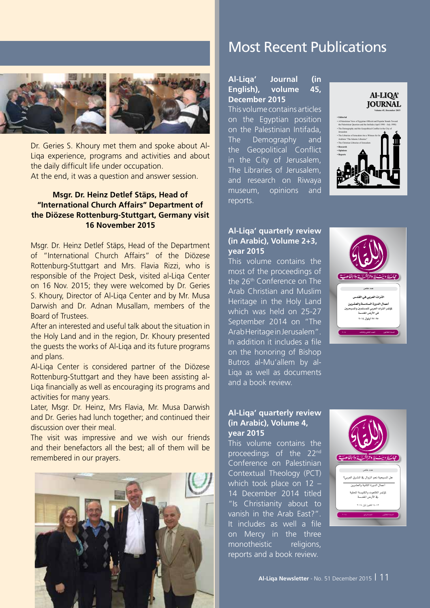

Dr. Geries S. Khoury met them and spoke about Al-Liqa experience, programs and activities and about the daily difficult life under occupation. At the end, it was a question and answer session.

#### **Msgr. Dr. Heinz Detlef Stäps, Head of "International Church Affairs" Department of the Diözese Rottenburg-Stuttgart, Germany visit 16 November 2015**

Msgr. Dr. Heinz Detlef Stäps, Head of the Department of "International Church Affairs" of the Diözese Rottenburg-Stuttgart and Mrs. Flavia Rizzi, who is responsible of the Project Desk, visited al-Liqa Center on 16 Nov. 2015; they were welcomed by Dr. Geries S. Khoury, Director of Al-Liqa Center and by Mr. Musa Darwish and Dr. Adnan Musallam, members of the Board of Trustees.

After an interested and useful talk about the situation in the Holy Land and in the region, Dr. Khoury presented the guests the works of Al-Liqa and its future programs and plans.

Al-Liqa Center is considered partner of the Diözese Rottenburg-Stuttgart and they have been assisting al-Liqa financially as well as encouraging its programs and activities for many years.

Later, Msgr. Dr. Heinz, Mrs Flavia, Mr. Musa Darwish and Dr. Geries had lunch together; and continued their discussion over their meal.

The visit was impressive and we wish our friends and their benefactors all the best; all of them will be remembered in our prayers.



## Most Recent Publications

**Al-Liqa' Journal (in English), volume 45, December 2015** This volume contains articles on the Egyptian position on the Palestinian Intifada, The Demography and the Geopolitical Conflict in the City of Jerusalem, The Libraries of Jerusalem, and research on Riwaya museum, opinions and reports.

#### **Al-LIOA JOURNAL**



#### **Al-Liqa' quarterly review (in Arabic), Volume 2+3, year 2015**

This volume contains the most of the proceedings of the 26<sup>th</sup> Conference on The Arab Christian and Muslim Heritage in the Holy Land which was held on 25-27 September 2014 on "The Arab Heritage in Jerusalem". In addition it includes a file on the honoring of Bishop Butros al-Mu'allem by al-Liqa as well as documents and a book review.



#### **Al-Liqa' quarterly review (in Arabic), Volume 4, year 2015**

This volume contains the proceedings of the 22<sup>nd</sup> Conference on Palestinian Contextual Theology (PCT) which took place on 12 – 14 December 2014 titled "Is Christianity about to vanish in the Arab East?". It includes as well a file on Mercy in the three monotheistic religions, reports and a book review.